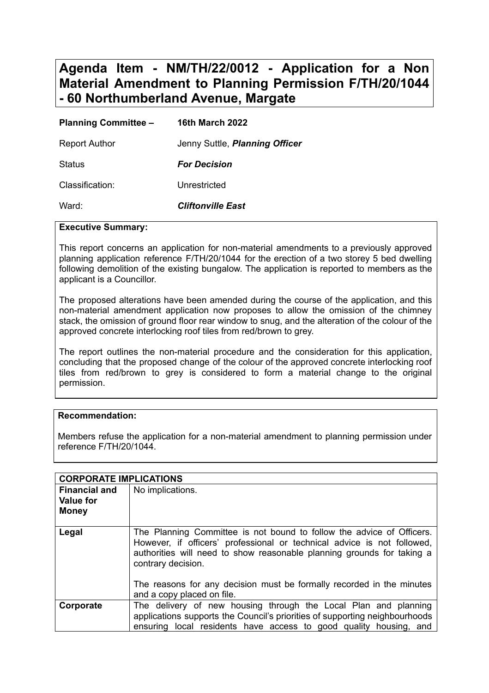# **Agenda Item - NM/TH/22/0012 - Application for a Non Material Amendment to Planning Permission F/TH/20/1044 - 60 Northumberland Avenue, Margate**

| <b>Planning Committee -</b> | <b>16th March 2022</b>         |
|-----------------------------|--------------------------------|
| <b>Report Author</b>        | Jenny Suttle, Planning Officer |
| <b>Status</b>               | <b>For Decision</b>            |
| Classification:             | Unrestricted                   |
| Ward:                       | <b>Cliftonville East</b>       |

#### **Executive Summary:**

This report concerns an application for non-material amendments to a previously approved planning application reference F/TH/20/1044 for the erection of a two storey 5 bed dwelling following demolition of the existing bungalow. The application is reported to members as the applicant is a Councillor.

The proposed alterations have been amended during the course of the application, and this non-material amendment application now proposes to allow the omission of the chimney stack, the omission of ground floor rear window to snug, and the alteration of the colour of the approved concrete interlocking roof tiles from red/brown to grey.

The report outlines the non-material procedure and the consideration for this application, concluding that the proposed change of the colour of the approved concrete interlocking roof tiles from red/brown to grey is considered to form a material change to the original permission.

#### **Recommendation:**

Members refuse the application for a non-material amendment to planning permission under reference F/TH/20/1044.

| <b>CORPORATE IMPLICATIONS</b>                            |                                                                                                                                                                                                                                                                                                                                                         |
|----------------------------------------------------------|---------------------------------------------------------------------------------------------------------------------------------------------------------------------------------------------------------------------------------------------------------------------------------------------------------------------------------------------------------|
| <b>Financial and</b><br><b>Value for</b><br><b>Money</b> | No implications.                                                                                                                                                                                                                                                                                                                                        |
| Legal                                                    | The Planning Committee is not bound to follow the advice of Officers.<br>However, if officers' professional or technical advice is not followed,<br>authorities will need to show reasonable planning grounds for taking a<br>contrary decision.<br>The reasons for any decision must be formally recorded in the minutes<br>and a copy placed on file. |
| Corporate                                                | The delivery of new housing through the Local Plan and planning<br>applications supports the Council's priorities of supporting neighbourhoods<br>ensuring local residents have access to good quality housing, and                                                                                                                                     |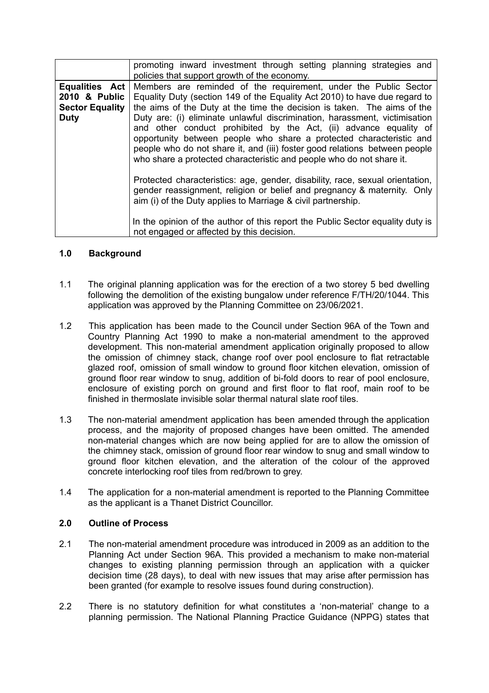|                                                                                 | promoting inward investment through setting planning strategies and<br>policies that support growth of the economy.                                                                                                                                                                                                                                                                                                                                                                                                                                                                                       |
|---------------------------------------------------------------------------------|-----------------------------------------------------------------------------------------------------------------------------------------------------------------------------------------------------------------------------------------------------------------------------------------------------------------------------------------------------------------------------------------------------------------------------------------------------------------------------------------------------------------------------------------------------------------------------------------------------------|
| <b>Equalities Act</b><br>2010 & Public<br><b>Sector Equality</b><br><b>Duty</b> | Members are reminded of the requirement, under the Public Sector<br>Equality Duty (section 149 of the Equality Act 2010) to have due regard to<br>the aims of the Duty at the time the decision is taken. The aims of the<br>Duty are: (i) eliminate unlawful discrimination, harassment, victimisation<br>and other conduct prohibited by the Act, (ii) advance equality of<br>opportunity between people who share a protected characteristic and<br>people who do not share it, and (iii) foster good relations between people<br>who share a protected characteristic and people who do not share it. |
|                                                                                 | Protected characteristics: age, gender, disability, race, sexual orientation,<br>gender reassignment, religion or belief and pregnancy & maternity. Only<br>aim (i) of the Duty applies to Marriage & civil partnership.<br>In the opinion of the author of this report the Public Sector equality duty is<br>not engaged or affected by this decision.                                                                                                                                                                                                                                                   |

# **1.0 Background**

- 1.1 The original planning application was for the erection of a two storey 5 bed dwelling following the demolition of the existing bungalow under reference F/TH/20/1044. This application was approved by the Planning Committee on 23/06/2021.
- 1.2 This application has been made to the Council under Section 96A of the Town and Country Planning Act 1990 to make a non-material amendment to the approved development. This non-material amendment application originally proposed to allow the omission of chimney stack, change roof over pool enclosure to flat retractable glazed roof, omission of small window to ground floor kitchen elevation, omission of ground floor rear window to snug, addition of bi-fold doors to rear of pool enclosure, enclosure of existing porch on ground and first floor to flat roof, main roof to be finished in thermoslate invisible solar thermal natural slate roof tiles.
- 1.3 The non-material amendment application has been amended through the application process, and the majority of proposed changes have been omitted. The amended non-material changes which are now being applied for are to allow the omission of the chimney stack, omission of ground floor rear window to snug and small window to ground floor kitchen elevation, and the alteration of the colour of the approved concrete interlocking roof tiles from red/brown to grey.
- 1.4 The application for a non-material amendment is reported to the Planning Committee as the applicant is a Thanet District Councillor.

#### **2.0 Outline of Process**

- 2.1 The non-material amendment procedure was introduced in 2009 as an addition to the Planning Act under Section 96A. This provided a mechanism to make non-material changes to existing planning permission through an application with a quicker decision time (28 days), to deal with new issues that may arise after permission has been granted (for example to resolve issues found during construction).
- 2.2 There is no statutory definition for what constitutes a 'non-material' change to a planning permission. The National Planning Practice Guidance (NPPG) states that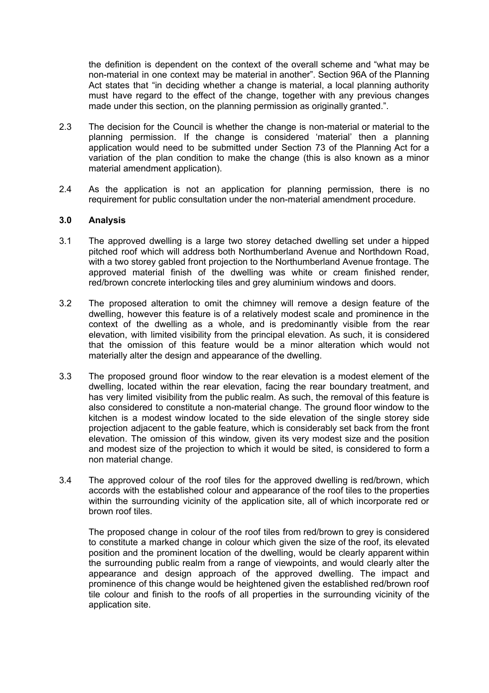the definition is dependent on the context of the overall scheme and "what may be non-material in one context may be material in another". Section 96A of the Planning Act states that "in deciding whether a change is material, a local planning authority must have regard to the effect of the change, together with any previous changes made under this section, on the planning permission as originally granted.".

- 2.3 The decision for the Council is whether the change is non-material or material to the planning permission. If the change is considered 'material' then a planning application would need to be submitted under Section 73 of the Planning Act for a variation of the plan condition to make the change (this is also known as a minor material amendment application).
- 2.4 As the application is not an application for planning permission, there is no requirement for public consultation under the non-material amendment procedure.

#### **3.0 Analysis**

- 3.1 The approved dwelling is a large two storey detached dwelling set under a hipped pitched roof which will address both Northumberland Avenue and Northdown Road, with a two storey gabled front projection to the Northumberland Avenue frontage. The approved material finish of the dwelling was white or cream finished render, red/brown concrete interlocking tiles and grey aluminium windows and doors.
- 3.2 The proposed alteration to omit the chimney will remove a design feature of the dwelling, however this feature is of a relatively modest scale and prominence in the context of the dwelling as a whole, and is predominantly visible from the rear elevation, with limited visibility from the principal elevation. As such, it is considered that the omission of this feature would be a minor alteration which would not materially alter the design and appearance of the dwelling.
- 3.3 The proposed ground floor window to the rear elevation is a modest element of the dwelling, located within the rear elevation, facing the rear boundary treatment, and has very limited visibility from the public realm. As such, the removal of this feature is also considered to constitute a non-material change. The ground floor window to the kitchen is a modest window located to the side elevation of the single storey side projection adjacent to the gable feature, which is considerably set back from the front elevation. The omission of this window, given its very modest size and the position and modest size of the projection to which it would be sited, is considered to form a non material change.
- 3.4 The approved colour of the roof tiles for the approved dwelling is red/brown, which accords with the established colour and appearance of the roof tiles to the properties within the surrounding vicinity of the application site, all of which incorporate red or brown roof tiles.

The proposed change in colour of the roof tiles from red/brown to grey is considered to constitute a marked change in colour which given the size of the roof, its elevated position and the prominent location of the dwelling, would be clearly apparent within the surrounding public realm from a range of viewpoints, and would clearly alter the appearance and design approach of the approved dwelling. The impact and prominence of this change would be heightened given the established red/brown roof tile colour and finish to the roofs of all properties in the surrounding vicinity of the application site.